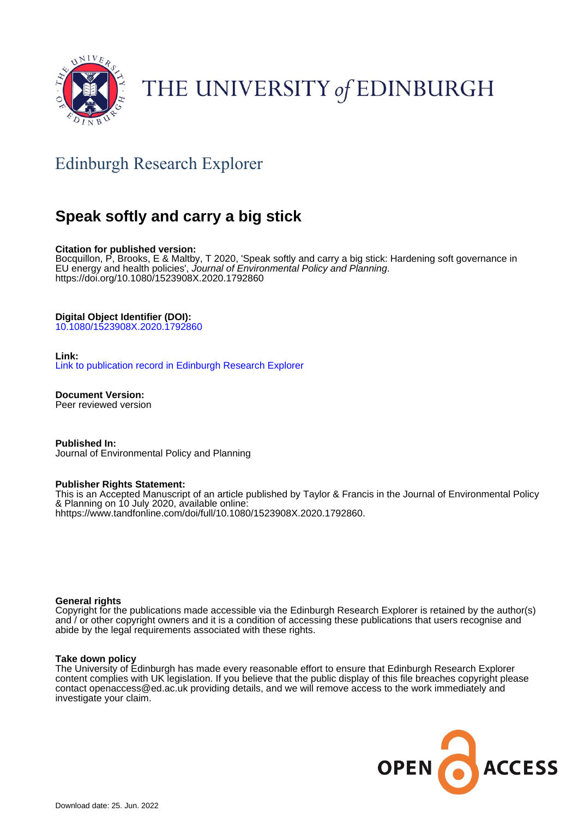

# THE UNIVERSITY of EDINBURGH

# Edinburgh Research Explorer

# **Speak softly and carry a big stick**

#### **Citation for published version:**

Bocquillon, P, Brooks, E & Maltby, T 2020, 'Speak softly and carry a big stick: Hardening soft governance in EU energy and health policies', Journal of Environmental Policy and Planning. <https://doi.org/10.1080/1523908X.2020.1792860>

#### **Digital Object Identifier (DOI):**

[10.1080/1523908X.2020.1792860](https://doi.org/10.1080/1523908X.2020.1792860)

#### **Link:**

[Link to publication record in Edinburgh Research Explorer](https://www.research.ed.ac.uk/en/publications/9e8c709a-f72e-4cc4-9863-46712cdb3e6e)

**Document Version:** Peer reviewed version

**Published In:** Journal of Environmental Policy and Planning

#### **Publisher Rights Statement:**

This is an Accepted Manuscript of an article published by Taylor & Francis in the Journal of Environmental Policy & Planning on 10 July 2020, available online: hhttps://www.tandfonline.com/doi/full/10.1080/1523908X.2020.1792860.

#### **General rights**

Copyright for the publications made accessible via the Edinburgh Research Explorer is retained by the author(s) and / or other copyright owners and it is a condition of accessing these publications that users recognise and abide by the legal requirements associated with these rights.

#### **Take down policy**

The University of Edinburgh has made every reasonable effort to ensure that Edinburgh Research Explorer content complies with UK legislation. If you believe that the public display of this file breaches copyright please contact openaccess@ed.ac.uk providing details, and we will remove access to the work immediately and investigate your claim.

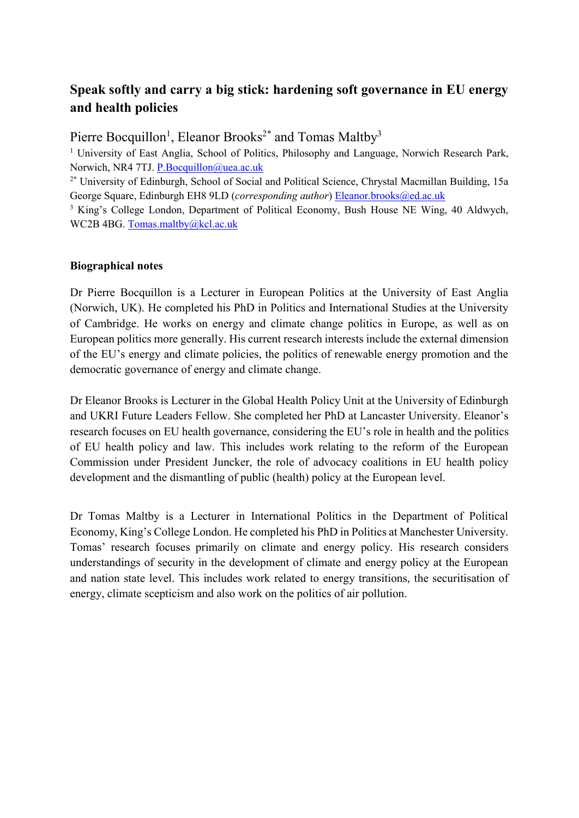### **Speak softly and carry a big stick: hardening soft governance in EU energy and health policies**

Pierre Bocquillon<sup>1</sup>, Eleanor Brooks<sup>2\*</sup> and Tomas Maltby<sup>3</sup>

<sup>1</sup> University of East Anglia, School of Politics, Philosophy and Language, Norwich Research Park, Norwich, NR4 7TJ. [P.Bocquillon@uea.ac.uk](mailto:P.Bocquillon@uea.ac.uk)

<sup>2\*</sup> University of Edinburgh, School of Social and Political Science, Chrystal Macmillan Building, 15a George Square, Edinburgh EH8 9LD (*corresponding author*) [Eleanor.brooks@ed.ac.uk](mailto:Eleanor.brooks@ed.ac.uk)

<sup>3</sup> King's College London, Department of Political Economy, Bush House NE Wing, 40 Aldwych, WC2B 4BG. [Tomas.maltby@kcl.ac.uk](mailto:Tomas.maltby@kcl.ac.uk)

#### **Biographical notes**

Dr Pierre Bocquillon is a Lecturer in European Politics at the University of East Anglia (Norwich, UK). He completed his PhD in Politics and International Studies at the University of Cambridge. He works on energy and climate change politics in Europe, as well as on European politics more generally. His current research interests include the external dimension of the EU's energy and climate policies, the politics of renewable energy promotion and the democratic governance of energy and climate change.

Dr Eleanor Brooks is Lecturer in the Global Health Policy Unit at the University of Edinburgh and UKRI Future Leaders Fellow. She completed her PhD at Lancaster University. Eleanor's research focuses on EU health governance, considering the EU's role in health and the politics of EU health policy and law. This includes work relating to the reform of the European Commission under President Juncker, the role of advocacy coalitions in EU health policy development and the dismantling of public (health) policy at the European level.

Dr Tomas Maltby is a Lecturer in International Politics in the Department of Political Economy, King's College London. He completed his PhD in Politics at Manchester University. Tomas' research focuses primarily on climate and energy policy. His research considers understandings of security in the development of climate and energy policy at the European and nation state level. This includes work related to energy transitions, the securitisation of energy, climate scepticism and also work on the politics of air pollution.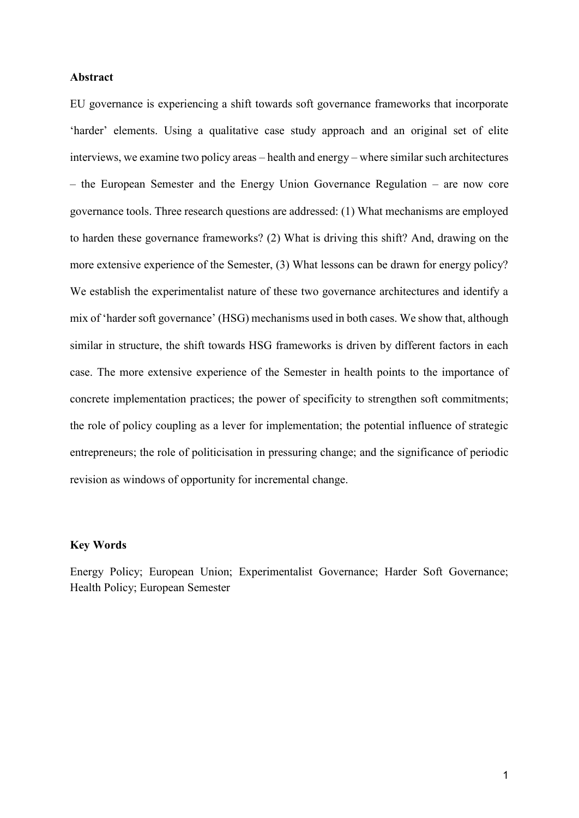#### **Abstract**

EU governance is experiencing a shift towards soft governance frameworks that incorporate 'harder' elements. Using a qualitative case study approach and an original set of elite interviews, we examine two policy areas – health and energy – where similar such architectures – the European Semester and the Energy Union Governance Regulation – are now core governance tools. Three research questions are addressed: (1) What mechanisms are employed to harden these governance frameworks? (2) What is driving this shift? And, drawing on the more extensive experience of the Semester, (3) What lessons can be drawn for energy policy? We establish the experimentalist nature of these two governance architectures and identify a mix of 'harder soft governance' (HSG) mechanisms used in both cases. We show that, although similar in structure, the shift towards HSG frameworks is driven by different factors in each case. The more extensive experience of the Semester in health points to the importance of concrete implementation practices; the power of specificity to strengthen soft commitments; the role of policy coupling as a lever for implementation; the potential influence of strategic entrepreneurs; the role of politicisation in pressuring change; and the significance of periodic revision as windows of opportunity for incremental change.

#### **Key Words**

Energy Policy; European Union; Experimentalist Governance; Harder Soft Governance; Health Policy; European Semester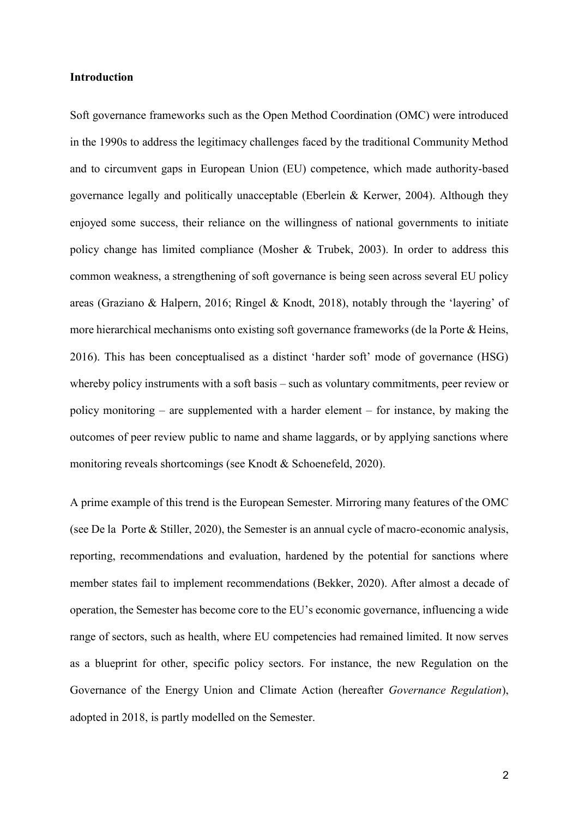#### **Introduction**

Soft governance frameworks such as the Open Method Coordination (OMC) were introduced in the 1990s to address the legitimacy challenges faced by the traditional Community Method and to circumvent gaps in European Union (EU) competence, which made authority-based governance legally and politically unacceptable (Eberlein & Kerwer, 2004). Although they enjoyed some success, their reliance on the willingness of national governments to initiate policy change has limited compliance (Mosher & Trubek, 2003). In order to address this common weakness, a strengthening of soft governance is being seen across several EU policy areas (Graziano & Halpern, 2016; Ringel & Knodt, 2018), notably through the 'layering' of more hierarchical mechanisms onto existing soft governance frameworks (de la Porte & Heins, 2016). This has been conceptualised as a distinct 'harder soft' mode of governance (HSG) whereby policy instruments with a soft basis – such as voluntary commitments, peer review or policy monitoring – are supplemented with a harder element – for instance, by making the outcomes of peer review public to name and shame laggards, or by applying sanctions where monitoring reveals shortcomings (see Knodt & Schoenefeld, 2020).

A prime example of this trend is the European Semester. Mirroring many features of the OMC (see De la Porte & Stiller, 2020), the Semester is an annual cycle of macro-economic analysis, reporting, recommendations and evaluation, hardened by the potential for sanctions where member states fail to implement recommendations (Bekker, 2020). After almost a decade of operation, the Semester has become core to the EU's economic governance, influencing a wide range of sectors, such as health, where EU competencies had remained limited. It now serves as a blueprint for other, specific policy sectors. For instance, the new Regulation on the Governance of the Energy Union and Climate Action (hereafter *Governance Regulation*), adopted in 2018, is partly modelled on the Semester.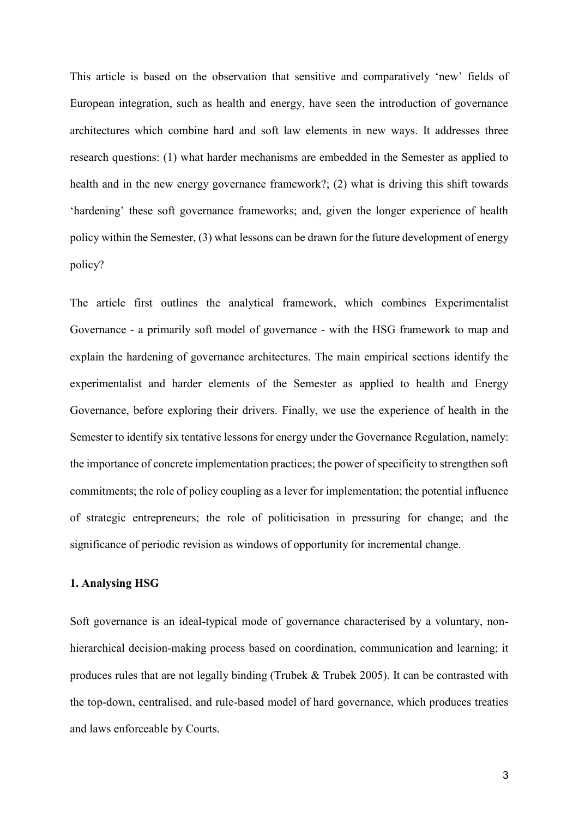This article is based on the observation that sensitive and comparatively 'new' fields of European integration, such as health and energy, have seen the introduction of governance architectures which combine hard and soft law elements in new ways. It addresses three research questions: (1) what harder mechanisms are embedded in the Semester as applied to health and in the new energy governance framework?; (2) what is driving this shift towards 'hardening' these soft governance frameworks; and, given the longer experience of health policy within the Semester, (3) what lessons can be drawn for the future development of energy policy?

The article first outlines the analytical framework, which combines Experimentalist Governance - a primarily soft model of governance - with the HSG framework to map and explain the hardening of governance architectures. The main empirical sections identify the experimentalist and harder elements of the Semester as applied to health and Energy Governance, before exploring their drivers. Finally, we use the experience of health in the Semester to identify six tentative lessons for energy under the Governance Regulation, namely: the importance of concrete implementation practices; the power of specificity to strengthen soft commitments; the role of policy coupling as a lever for implementation; the potential influence of strategic entrepreneurs; the role of politicisation in pressuring for change; and the significance of periodic revision as windows of opportunity for incremental change.

#### **1. Analysing HSG**

Soft governance is an ideal-typical mode of governance characterised by a voluntary, nonhierarchical decision-making process based on coordination, communication and learning; it produces rules that are not legally binding (Trubek & Trubek 2005). It can be contrasted with the top-down, centralised, and rule-based model of hard governance, which produces treaties and laws enforceable by Courts.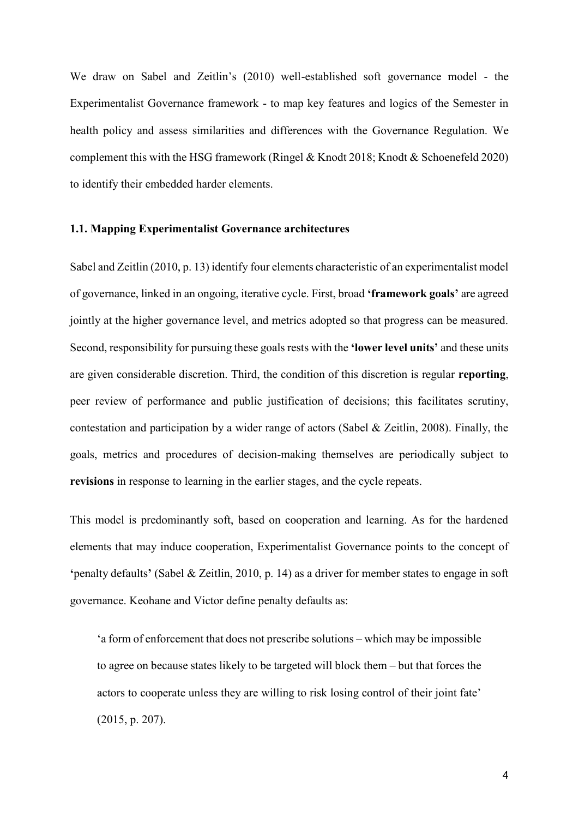We draw on Sabel and Zeitlin's (2010) well-established soft governance model - the Experimentalist Governance framework - to map key features and logics of the Semester in health policy and assess similarities and differences with the Governance Regulation. We complement this with the HSG framework (Ringel & Knodt 2018; Knodt & Schoenefeld 2020) to identify their embedded harder elements.

#### **1.1. Mapping Experimentalist Governance architectures**

Sabel and Zeitlin (2010, p. 13) identify four elements characteristic of an experimentalist model of governance, linked in an ongoing, iterative cycle. First, broad **'framework goals'** are agreed jointly at the higher governance level, and metrics adopted so that progress can be measured. Second, responsibility for pursuing these goals rests with the **'lower level units'** and these units are given considerable discretion. Third, the condition of this discretion is regular **reporting**, peer review of performance and public justification of decisions; this facilitates scrutiny, contestation and participation by a wider range of actors (Sabel & Zeitlin, 2008). Finally, the goals, metrics and procedures of decision-making themselves are periodically subject to **revisions** in response to learning in the earlier stages, and the cycle repeats.

This model is predominantly soft, based on cooperation and learning. As for the hardened elements that may induce cooperation, Experimentalist Governance points to the concept of **'**penalty defaults**'** (Sabel & Zeitlin, 2010, p. 14) as a driver for member states to engage in soft governance. Keohane and Victor define penalty defaults as:

'a form of enforcement that does not prescribe solutions – which may be impossible to agree on because states likely to be targeted will block them – but that forces the actors to cooperate unless they are willing to risk losing control of their joint fate' (2015, p. 207).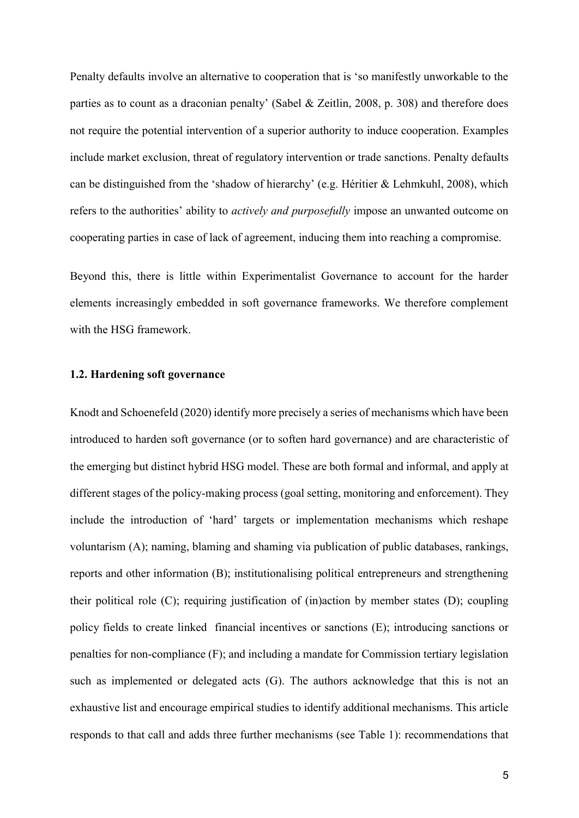Penalty defaults involve an alternative to cooperation that is 'so manifestly unworkable to the parties as to count as a draconian penalty' (Sabel & Zeitlin, 2008, p. 308) and therefore does not require the potential intervention of a superior authority to induce cooperation. Examples include market exclusion, threat of regulatory intervention or trade sanctions. Penalty defaults can be distinguished from the 'shadow of hierarchy' (e.g. Héritier & Lehmkuhl, 2008), which refers to the authorities' ability to *actively and purposefully* impose an unwanted outcome on cooperating parties in case of lack of agreement, inducing them into reaching a compromise.

Beyond this, there is little within Experimentalist Governance to account for the harder elements increasingly embedded in soft governance frameworks. We therefore complement with the HSG framework.

#### **1.2. Hardening soft governance**

Knodt and Schoenefeld (2020) identify more precisely a series of mechanisms which have been introduced to harden soft governance (or to soften hard governance) and are characteristic of the emerging but distinct hybrid HSG model. These are both formal and informal, and apply at different stages of the policy-making process (goal setting, monitoring and enforcement). They include the introduction of 'hard' targets or implementation mechanisms which reshape voluntarism (A); naming, blaming and shaming via publication of public databases, rankings, reports and other information (B); institutionalising political entrepreneurs and strengthening their political role (C); requiring justification of (in)action by member states (D); coupling policy fields to create linked financial incentives or sanctions (E); introducing sanctions or penalties for non-compliance (F); and including a mandate for Commission tertiary legislation such as implemented or delegated acts (G). The authors acknowledge that this is not an exhaustive list and encourage empirical studies to identify additional mechanisms. This article responds to that call and adds three further mechanisms (see Table 1): recommendations that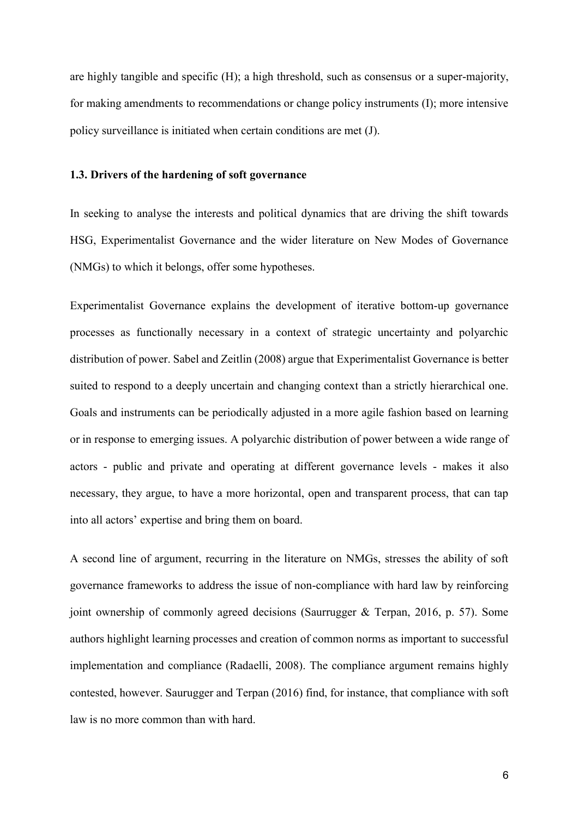are highly tangible and specific (H); a high threshold, such as consensus or a super-majority, for making amendments to recommendations or change policy instruments (I); more intensive policy surveillance is initiated when certain conditions are met (J).

#### **1.3. Drivers of the hardening of soft governance**

In seeking to analyse the interests and political dynamics that are driving the shift towards HSG, Experimentalist Governance and the wider literature on New Modes of Governance (NMGs) to which it belongs, offer some hypotheses.

Experimentalist Governance explains the development of iterative bottom-up governance processes as functionally necessary in a context of strategic uncertainty and polyarchic distribution of power. Sabel and Zeitlin (2008) argue that Experimentalist Governance is better suited to respond to a deeply uncertain and changing context than a strictly hierarchical one. Goals and instruments can be periodically adjusted in a more agile fashion based on learning or in response to emerging issues. A polyarchic distribution of power between a wide range of actors - public and private and operating at different governance levels - makes it also necessary, they argue, to have a more horizontal, open and transparent process, that can tap into all actors' expertise and bring them on board.

A second line of argument, recurring in the literature on NMGs, stresses the ability of soft governance frameworks to address the issue of non-compliance with hard law by reinforcing joint ownership of commonly agreed decisions (Saurrugger & Terpan, 2016, p. 57). Some authors highlight learning processes and creation of common norms as important to successful implementation and compliance (Radaelli, 2008). The compliance argument remains highly contested, however. Saurugger and Terpan (2016) find, for instance, that compliance with soft law is no more common than with hard.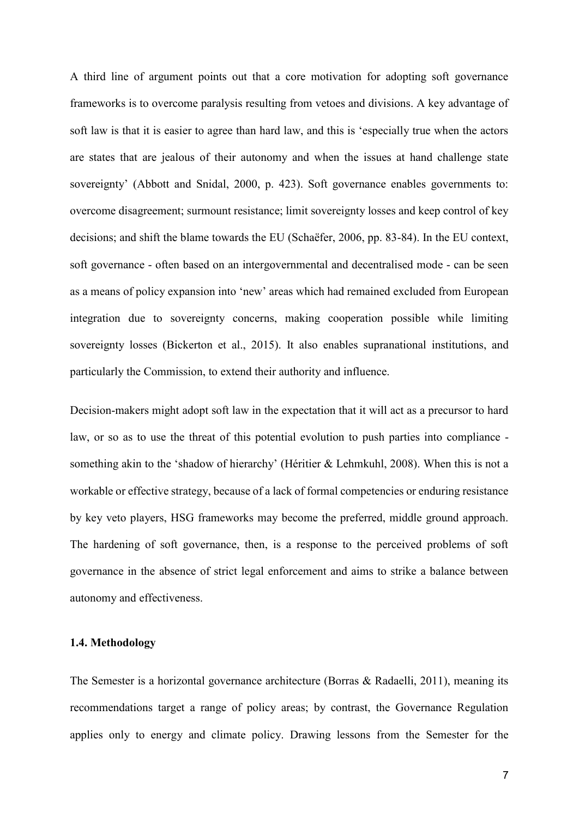A third line of argument points out that a core motivation for adopting soft governance frameworks is to overcome paralysis resulting from vetoes and divisions. A key advantage of soft law is that it is easier to agree than hard law, and this is 'especially true when the actors are states that are jealous of their autonomy and when the issues at hand challenge state sovereignty' (Abbott and Snidal, 2000, p. 423). Soft governance enables governments to: overcome disagreement; surmount resistance; limit sovereignty losses and keep control of key decisions; and shift the blame towards the EU (Schaëfer, 2006, pp. 83-84). In the EU context, soft governance - often based on an intergovernmental and decentralised mode - can be seen as a means of policy expansion into 'new' areas which had remained excluded from European integration due to sovereignty concerns, making cooperation possible while limiting sovereignty losses (Bickerton et al., 2015). It also enables supranational institutions, and particularly the Commission, to extend their authority and influence.

Decision-makers might adopt soft law in the expectation that it will act as a precursor to hard law, or so as to use the threat of this potential evolution to push parties into compliance something akin to the 'shadow of hierarchy' (Héritier & Lehmkuhl, 2008). When this is not a workable or effective strategy, because of a lack of formal competencies or enduring resistance by key veto players, HSG frameworks may become the preferred, middle ground approach. The hardening of soft governance, then, is a response to the perceived problems of soft governance in the absence of strict legal enforcement and aims to strike a balance between autonomy and effectiveness.

#### **1.4. Methodology**

The Semester is a horizontal governance architecture (Borras & Radaelli, 2011), meaning its recommendations target a range of policy areas; by contrast, the Governance Regulation applies only to energy and climate policy. Drawing lessons from the Semester for the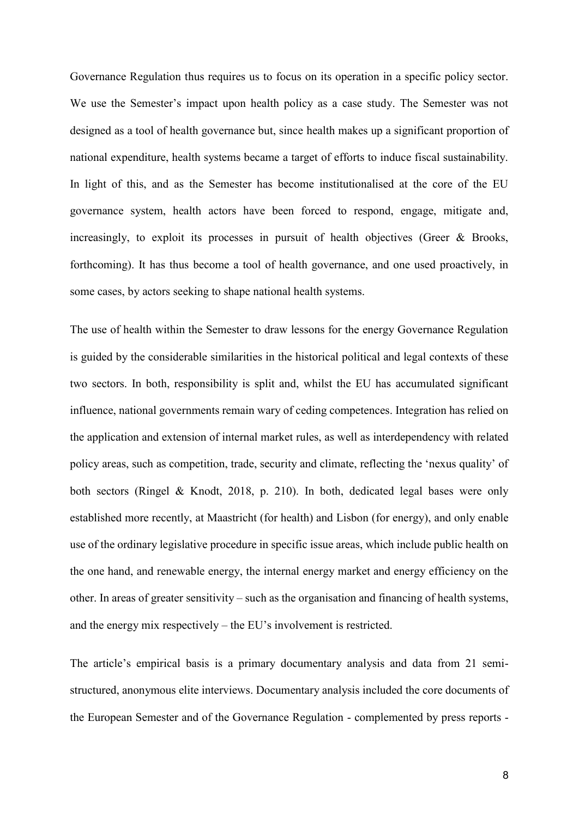Governance Regulation thus requires us to focus on its operation in a specific policy sector. We use the Semester's impact upon health policy as a case study. The Semester was not designed as a tool of health governance but, since health makes up a significant proportion of national expenditure, health systems became a target of efforts to induce fiscal sustainability. In light of this, and as the Semester has become institutionalised at the core of the EU governance system, health actors have been forced to respond, engage, mitigate and, increasingly, to exploit its processes in pursuit of health objectives (Greer & Brooks, forthcoming). It has thus become a tool of health governance, and one used proactively, in some cases, by actors seeking to shape national health systems.

The use of health within the Semester to draw lessons for the energy Governance Regulation is guided by the considerable similarities in the historical political and legal contexts of these two sectors. In both, responsibility is split and, whilst the EU has accumulated significant influence, national governments remain wary of ceding competences. Integration has relied on the application and extension of internal market rules, as well as interdependency with related policy areas, such as competition, trade, security and climate, reflecting the 'nexus quality' of both sectors (Ringel & Knodt, 2018, p. 210). In both, dedicated legal bases were only established more recently, at Maastricht (for health) and Lisbon (for energy), and only enable use of the ordinary legislative procedure in specific issue areas, which include public health on the one hand, and renewable energy, the internal energy market and energy efficiency on the other. In areas of greater sensitivity – such as the organisation and financing of health systems, and the energy mix respectively – the EU's involvement is restricted.

The article's empirical basis is a primary documentary analysis and data from 21 semistructured, anonymous elite interviews. Documentary analysis included the core documents of the European Semester and of the Governance Regulation - complemented by press reports -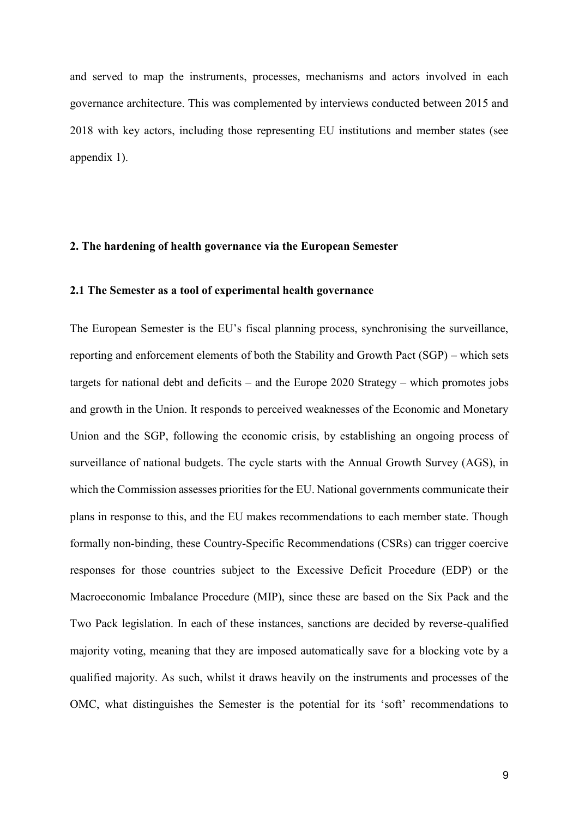and served to map the instruments, processes, mechanisms and actors involved in each governance architecture. This was complemented by interviews conducted between 2015 and 2018 with key actors, including those representing EU institutions and member states (see appendix 1).

#### **2. The hardening of health governance via the European Semester**

#### **2.1 The Semester as a tool of experimental health governance**

The European Semester is the EU's fiscal planning process, synchronising the surveillance, reporting and enforcement elements of both the Stability and Growth Pact (SGP) – which sets targets for national debt and deficits – and the Europe 2020 Strategy – which promotes jobs and growth in the Union. It responds to perceived weaknesses of the Economic and Monetary Union and the SGP, following the economic crisis, by establishing an ongoing process of surveillance of national budgets. The cycle starts with the Annual Growth Survey (AGS), in which the Commission assesses priorities for the EU. National governments communicate their plans in response to this, and the EU makes recommendations to each member state. Though formally non-binding, these Country-Specific Recommendations (CSRs) can trigger coercive responses for those countries subject to the Excessive Deficit Procedure (EDP) or the Macroeconomic Imbalance Procedure (MIP), since these are based on the Six Pack and the Two Pack legislation. In each of these instances, sanctions are decided by reverse-qualified majority voting, meaning that they are imposed automatically save for a blocking vote by a qualified majority. As such, whilst it draws heavily on the instruments and processes of the OMC, what distinguishes the Semester is the potential for its 'soft' recommendations to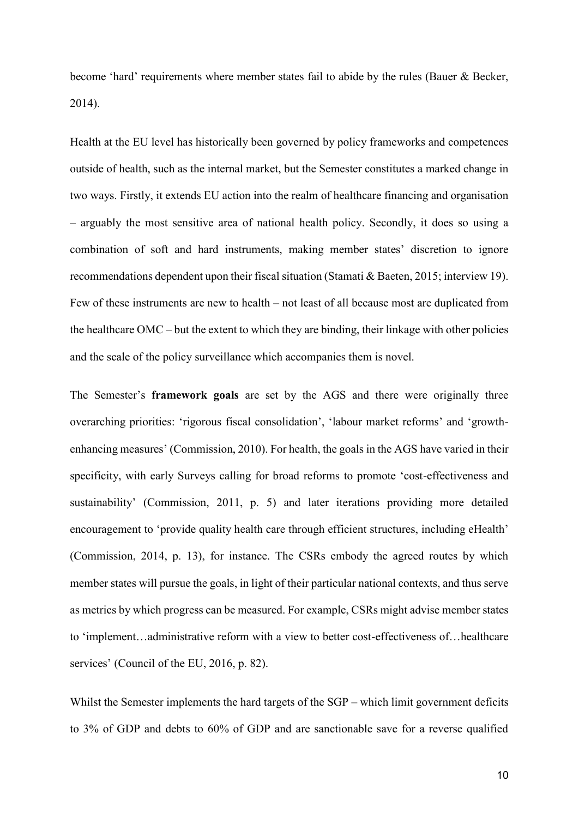become 'hard' requirements where member states fail to abide by the rules (Bauer & Becker, 2014).

Health at the EU level has historically been governed by policy frameworks and competences outside of health, such as the internal market, but the Semester constitutes a marked change in two ways. Firstly, it extends EU action into the realm of healthcare financing and organisation – arguably the most sensitive area of national health policy. Secondly, it does so using a combination of soft and hard instruments, making member states' discretion to ignore recommendations dependent upon their fiscal situation (Stamati & Baeten, 2015; interview 19). Few of these instruments are new to health – not least of all because most are duplicated from the healthcare OMC – but the extent to which they are binding, their linkage with other policies and the scale of the policy surveillance which accompanies them is novel.

The Semester's **framework goals** are set by the AGS and there were originally three overarching priorities: 'rigorous fiscal consolidation', 'labour market reforms' and 'growthenhancing measures' (Commission, 2010). For health, the goals in the AGS have varied in their specificity, with early Surveys calling for broad reforms to promote 'cost-effectiveness and sustainability' (Commission, 2011, p. 5) and later iterations providing more detailed encouragement to 'provide quality health care through efficient structures, including eHealth' (Commission, 2014, p. 13), for instance. The CSRs embody the agreed routes by which member states will pursue the goals, in light of their particular national contexts, and thus serve as metrics by which progress can be measured. For example, CSRs might advise member states to 'implement…administrative reform with a view to better cost-effectiveness of…healthcare services' (Council of the EU, 2016, p. 82).

Whilst the Semester implements the hard targets of the SGP – which limit government deficits to 3% of GDP and debts to 60% of GDP and are sanctionable save for a reverse qualified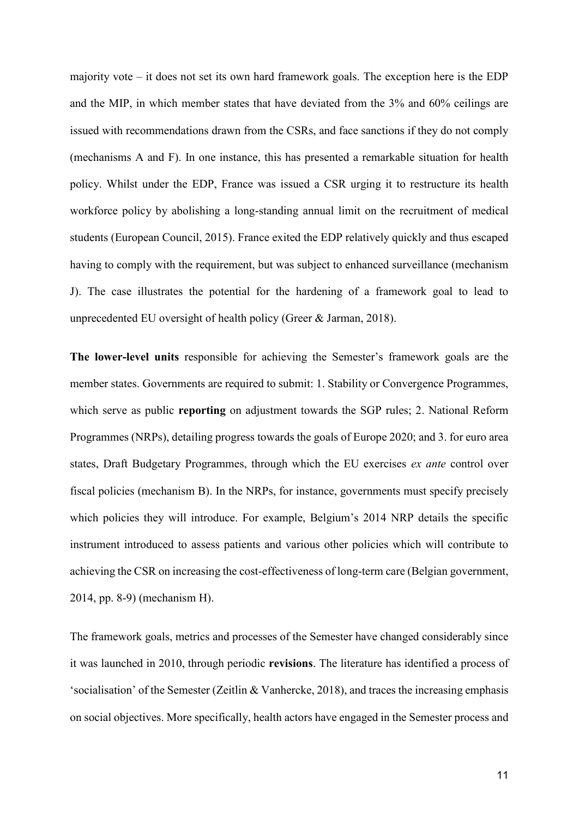majority vote – it does not set its own hard framework goals. The exception here is the EDP and the MIP, in which member states that have deviated from the 3% and 60% ceilings are issued with recommendations drawn from the CSRs, and face sanctions if they do not comply (mechanisms A and F). In one instance, this has presented a remarkable situation for health policy. Whilst under the EDP, France was issued a CSR urging it to restructure its health workforce policy by abolishing a long-standing annual limit on the recruitment of medical students (European Council, 2015). France exited the EDP relatively quickly and thus escaped having to comply with the requirement, but was subject to enhanced surveillance (mechanism J). The case illustrates the potential for the hardening of a framework goal to lead to unprecedented EU oversight of health policy (Greer & Jarman, 2018).

**The lower-level units** responsible for achieving the Semester's framework goals are the member states. Governments are required to submit: 1. Stability or Convergence Programmes, which serve as public **reporting** on adjustment towards the SGP rules; 2. National Reform Programmes (NRPs), detailing progress towards the goals of Europe 2020; and 3. for euro area states, Draft Budgetary Programmes, through which the EU exercises *ex ante* control over fiscal policies (mechanism B). In the NRPs, for instance, governments must specify precisely which policies they will introduce. For example, Belgium's 2014 NRP details the specific instrument introduced to assess patients and various other policies which will contribute to achieving the CSR on increasing the cost-effectiveness of long-term care (Belgian government, 2014, pp. 8-9) (mechanism H).

The framework goals, metrics and processes of the Semester have changed considerably since it was launched in 2010, through periodic **revisions**. The literature has identified a process of 'socialisation' of the Semester (Zeitlin & Vanhercke, 2018), and traces the increasing emphasis on social objectives. More specifically, health actors have engaged in the Semester process and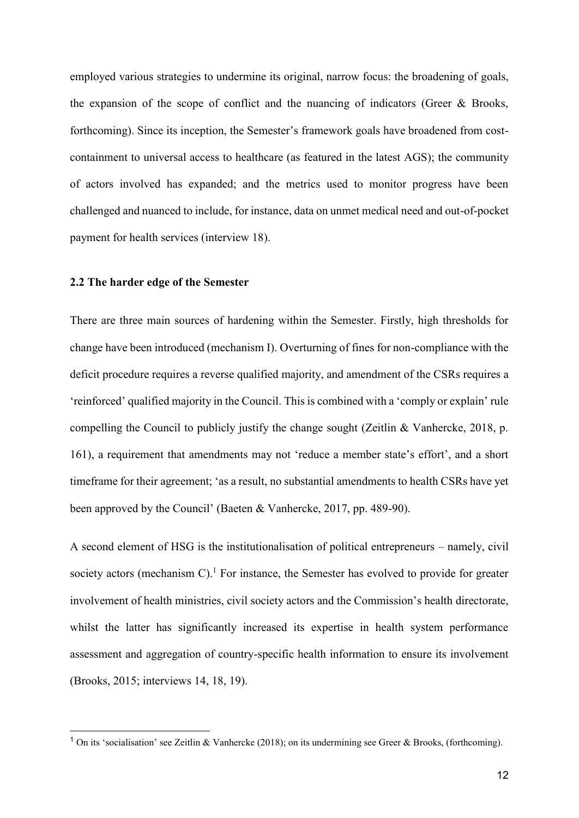employed various strategies to undermine its original, narrow focus: the broadening of goals, the expansion of the scope of conflict and the nuancing of indicators (Greer & Brooks, forthcoming). Since its inception, the Semester's framework goals have broadened from costcontainment to universal access to healthcare (as featured in the latest AGS); the community of actors involved has expanded; and the metrics used to monitor progress have been challenged and nuanced to include, for instance, data on unmet medical need and out-of-pocket payment for health services (interview 18).

#### **2.2 The harder edge of the Semester**

-

There are three main sources of hardening within the Semester. Firstly, high thresholds for change have been introduced (mechanism I). Overturning of fines for non-compliance with the deficit procedure requires a reverse qualified majority, and amendment of the CSRs requires a 'reinforced' qualified majority in the Council. This is combined with a 'comply or explain' rule compelling the Council to publicly justify the change sought (Zeitlin & Vanhercke, 2018, p. 161), a requirement that amendments may not 'reduce a member state's effort', and a short timeframe for their agreement; 'as a result, no substantial amendments to health CSRs have yet been approved by the Council' (Baeten & Vanhercke, 2017, pp. 489-90).

A second element of HSG is the institutionalisation of political entrepreneurs – namely, civil society actors (mechanism C).<sup>1</sup> For instance, the Semester has evolved to provide for greater involvement of health ministries, civil society actors and the Commission's health directorate, whilst the latter has significantly increased its expertise in health system performance assessment and aggregation of country-specific health information to ensure its involvement (Brooks, 2015; interviews 14, 18, 19).

<sup>&</sup>lt;sup>1</sup> On its 'socialisation' see Zeitlin & Vanhercke (2018); on its undermining see Greer & Brooks, (forthcoming).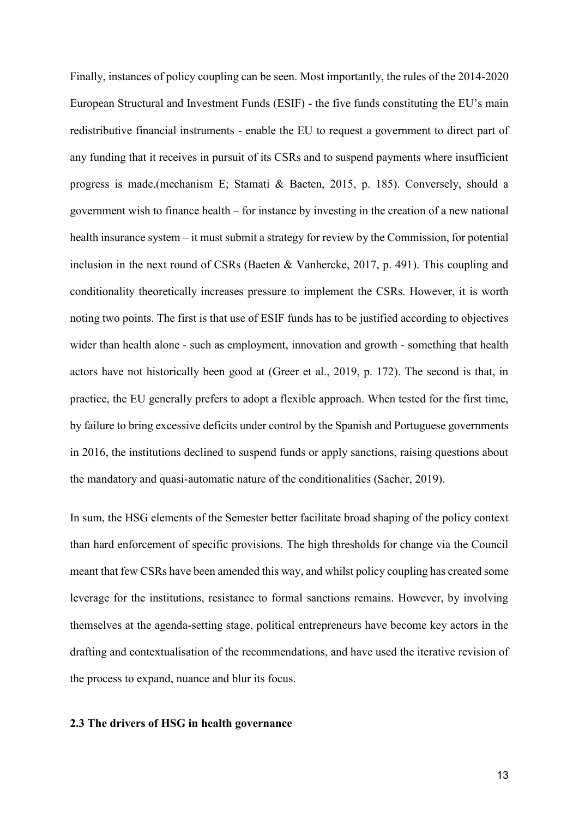Finally, instances of policy coupling can be seen. Most importantly, the rules of the 2014-2020 European Structural and Investment Funds (ESIF) - the five funds constituting the EU's main redistributive financial instruments - enable the EU to request a government to direct part of any funding that it receives in pursuit of its CSRs and to suspend payments where insufficient progress is made,(mechanism E; Stamati & Baeten, 2015, p. 185). Conversely, should a government wish to finance health – for instance by investing in the creation of a new national health insurance system – it must submit a strategy for review by the Commission, for potential inclusion in the next round of CSRs (Baeten & Vanhercke, 2017, p. 491). This coupling and conditionality theoretically increases pressure to implement the CSRs. However, it is worth noting two points. The first is that use of ESIF funds has to be justified according to objectives wider than health alone - such as employment, innovation and growth - something that health actors have not historically been good at (Greer et al., 2019, p. 172). The second is that, in practice, the EU generally prefers to adopt a flexible approach. When tested for the first time, by failure to bring excessive deficits under control by the Spanish and Portuguese governments in 2016, the institutions declined to suspend funds or apply sanctions, raising questions about the mandatory and quasi-automatic nature of the conditionalities (Sacher, 2019).

In sum, the HSG elements of the Semester better facilitate broad shaping of the policy context than hard enforcement of specific provisions. The high thresholds for change via the Council meant that few CSRs have been amended this way, and whilst policy coupling has created some leverage for the institutions, resistance to formal sanctions remains. However, by involving themselves at the agenda-setting stage, political entrepreneurs have become key actors in the drafting and contextualisation of the recommendations, and have used the iterative revision of the process to expand, nuance and blur its focus.

#### **2.3 The drivers of HSG in health governance**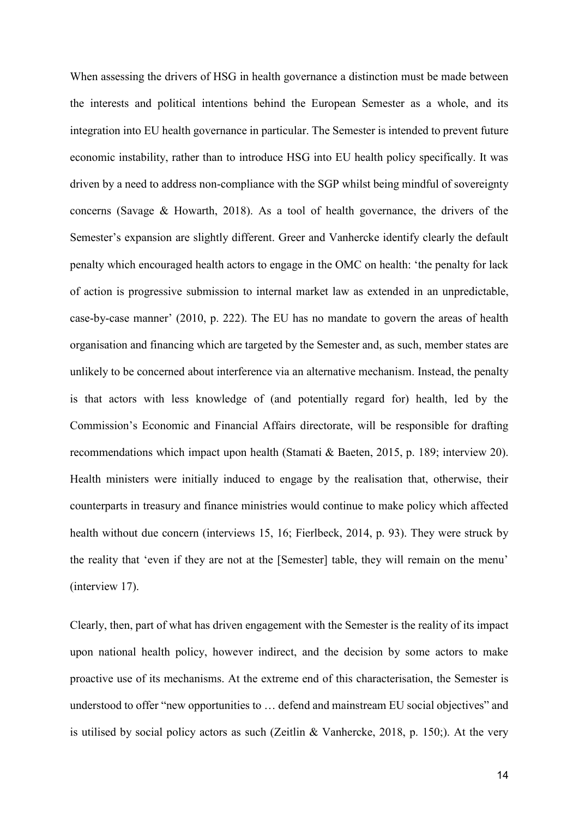When assessing the drivers of HSG in health governance a distinction must be made between the interests and political intentions behind the European Semester as a whole, and its integration into EU health governance in particular. The Semester is intended to prevent future economic instability, rather than to introduce HSG into EU health policy specifically. It was driven by a need to address non-compliance with the SGP whilst being mindful of sovereignty concerns (Savage & Howarth, 2018). As a tool of health governance, the drivers of the Semester's expansion are slightly different. Greer and Vanhercke identify clearly the default penalty which encouraged health actors to engage in the OMC on health: 'the penalty for lack of action is progressive submission to internal market law as extended in an unpredictable, case-by-case manner' (2010, p. 222). The EU has no mandate to govern the areas of health organisation and financing which are targeted by the Semester and, as such, member states are unlikely to be concerned about interference via an alternative mechanism. Instead, the penalty is that actors with less knowledge of (and potentially regard for) health, led by the Commission's Economic and Financial Affairs directorate, will be responsible for drafting recommendations which impact upon health (Stamati & Baeten, 2015, p. 189; interview 20). Health ministers were initially induced to engage by the realisation that, otherwise, their counterparts in treasury and finance ministries would continue to make policy which affected health without due concern (interviews 15, 16; Fierlbeck, 2014, p. 93). They were struck by the reality that 'even if they are not at the [Semester] table, they will remain on the menu' (interview 17).

Clearly, then, part of what has driven engagement with the Semester is the reality of its impact upon national health policy, however indirect, and the decision by some actors to make proactive use of its mechanisms. At the extreme end of this characterisation, the Semester is understood to offer "new opportunities to … defend and mainstream EU social objectives" and is utilised by social policy actors as such (Zeitlin & Vanhercke, 2018, p. 150;). At the very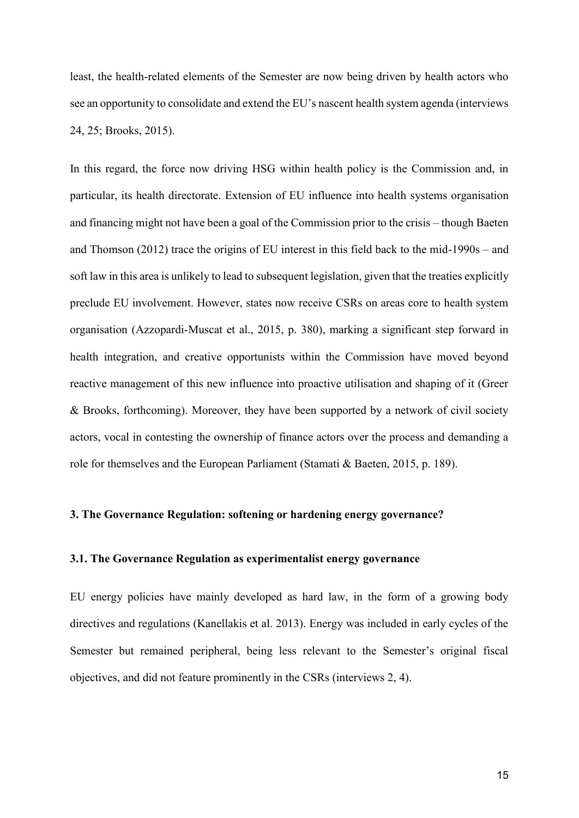least, the health-related elements of the Semester are now being driven by health actors who see an opportunity to consolidate and extend the EU's nascent health system agenda (interviews 24, 25; Brooks, 2015).

In this regard, the force now driving HSG within health policy is the Commission and, in particular, its health directorate. Extension of EU influence into health systems organisation and financing might not have been a goal of the Commission prior to the crisis – though Baeten and Thomson (2012) trace the origins of EU interest in this field back to the mid-1990s – and soft law in this area is unlikely to lead to subsequent legislation, given that the treaties explicitly preclude EU involvement. However, states now receive CSRs on areas core to health system organisation (Azzopardi-Muscat et al., 2015, p. 380), marking a significant step forward in health integration, and creative opportunists within the Commission have moved beyond reactive management of this new influence into proactive utilisation and shaping of it (Greer & Brooks, forthcoming). Moreover, they have been supported by a network of civil society actors, vocal in contesting the ownership of finance actors over the process and demanding a role for themselves and the European Parliament (Stamati & Baeten, 2015, p. 189).

#### **3. The Governance Regulation: softening or hardening energy governance?**

#### **3.1. The Governance Regulation as experimentalist energy governance**

EU energy policies have mainly developed as hard law, in the form of a growing body directives and regulations (Kanellakis et al. 2013). Energy was included in early cycles of the Semester but remained peripheral, being less relevant to the Semester's original fiscal objectives, and did not feature prominently in the CSRs (interviews 2, 4).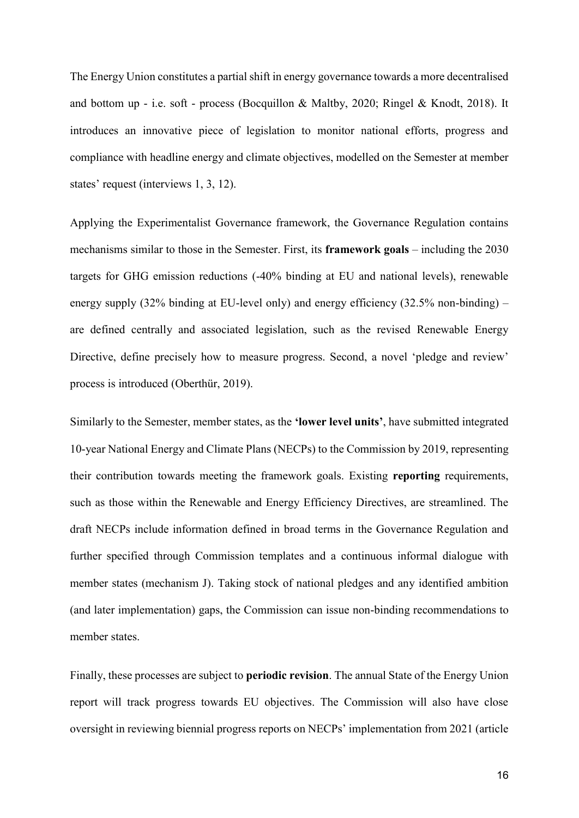The Energy Union constitutes a partial shift in energy governance towards a more decentralised and bottom up - i.e. soft - process (Bocquillon & Maltby, 2020; Ringel & Knodt, 2018). It introduces an innovative piece of legislation to monitor national efforts, progress and compliance with headline energy and climate objectives, modelled on the Semester at member states' request (interviews 1, 3, 12).

Applying the Experimentalist Governance framework, the Governance Regulation contains mechanisms similar to those in the Semester. First, its **framework goals** – including the 2030 targets for GHG emission reductions (-40% binding at EU and national levels), renewable energy supply (32% binding at EU-level only) and energy efficiency (32.5% non-binding) – are defined centrally and associated legislation, such as the revised Renewable Energy Directive, define precisely how to measure progress. Second, a novel 'pledge and review' process is introduced (Oberthür, 2019).

Similarly to the Semester, member states, as the **'lower level units'**, have submitted integrated 10-year National Energy and Climate Plans (NECPs) to the Commission by 2019, representing their contribution towards meeting the framework goals. Existing **reporting** requirements, such as those within the Renewable and Energy Efficiency Directives, are streamlined. The draft NECPs include information defined in broad terms in the Governance Regulation and further specified through Commission templates and a continuous informal dialogue with member states (mechanism J). Taking stock of national pledges and any identified ambition (and later implementation) gaps, the Commission can issue non-binding recommendations to member states.

Finally, these processes are subject to **periodic revision**. The annual State of the Energy Union report will track progress towards EU objectives. The Commission will also have close oversight in reviewing biennial progress reports on NECPs' implementation from 2021 (article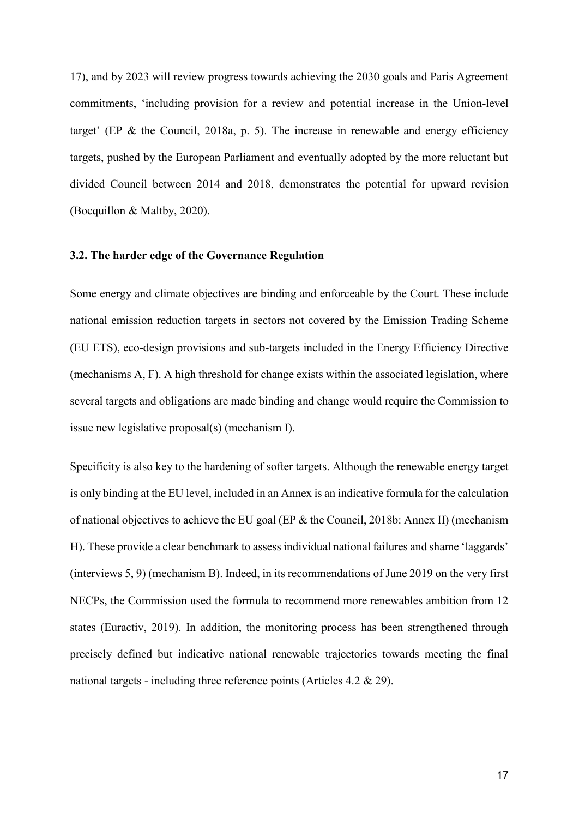17), and by 2023 will review progress towards achieving the 2030 goals and Paris Agreement commitments, 'including provision for a review and potential increase in the Union-level target' (EP & the Council, 2018a, p. 5). The increase in renewable and energy efficiency targets, pushed by the European Parliament and eventually adopted by the more reluctant but divided Council between 2014 and 2018, demonstrates the potential for upward revision (Bocquillon & Maltby, 2020).

#### **3.2. The harder edge of the Governance Regulation**

Some energy and climate objectives are binding and enforceable by the Court. These include national emission reduction targets in sectors not covered by the Emission Trading Scheme (EU ETS), eco-design provisions and sub-targets included in the Energy Efficiency Directive (mechanisms A, F). A high threshold for change exists within the associated legislation, where several targets and obligations are made binding and change would require the Commission to issue new legislative proposal(s) (mechanism I).

Specificity is also key to the hardening of softer targets. Although the renewable energy target is only binding at the EU level, included in an Annex is an indicative formula for the calculation of national objectives to achieve the EU goal (EP & the Council, 2018b: Annex II) (mechanism H). These provide a clear benchmark to assess individual national failures and shame 'laggards' (interviews 5, 9) (mechanism B). Indeed, in its recommendations of June 2019 on the very first NECPs, the Commission used the formula to recommend more renewables ambition from 12 states (Euractiv, 2019). In addition, the monitoring process has been strengthened through precisely defined but indicative national renewable trajectories towards meeting the final national targets - including three reference points (Articles 4.2 & 29).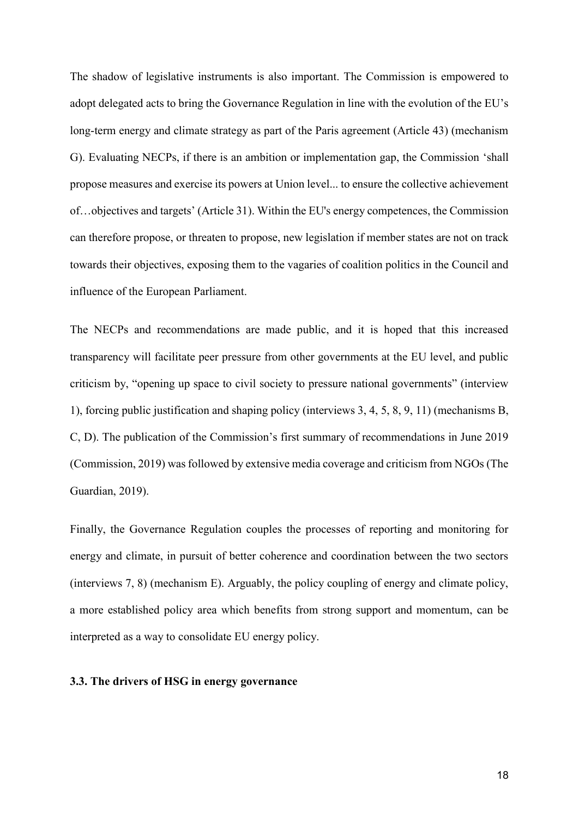The shadow of legislative instruments is also important. The Commission is empowered to adopt delegated acts to bring the Governance Regulation in line with the evolution of the EU's long-term energy and climate strategy as part of the Paris agreement (Article 43) (mechanism G). Evaluating NECPs, if there is an ambition or implementation gap, the Commission 'shall propose measures and exercise its powers at Union level... to ensure the collective achievement of…objectives and targets' (Article 31). Within the EU's energy competences, the Commission can therefore propose, or threaten to propose, new legislation if member states are not on track towards their objectives, exposing them to the vagaries of coalition politics in the Council and influence of the European Parliament.

The NECPs and recommendations are made public, and it is hoped that this increased transparency will facilitate peer pressure from other governments at the EU level, and public criticism by, "opening up space to civil society to pressure national governments" (interview 1), forcing public justification and shaping policy (interviews 3, 4, 5, 8, 9, 11) (mechanisms B, C, D). The publication of the Commission's first summary of recommendations in June 2019 (Commission, 2019) was followed by extensive media coverage and criticism from NGOs (The Guardian, 2019).

Finally, the Governance Regulation couples the processes of reporting and monitoring for energy and climate, in pursuit of better coherence and coordination between the two sectors (interviews 7, 8) (mechanism E). Arguably, the policy coupling of energy and climate policy, a more established policy area which benefits from strong support and momentum, can be interpreted as a way to consolidate EU energy policy.

#### **3.3. The drivers of HSG in energy governance**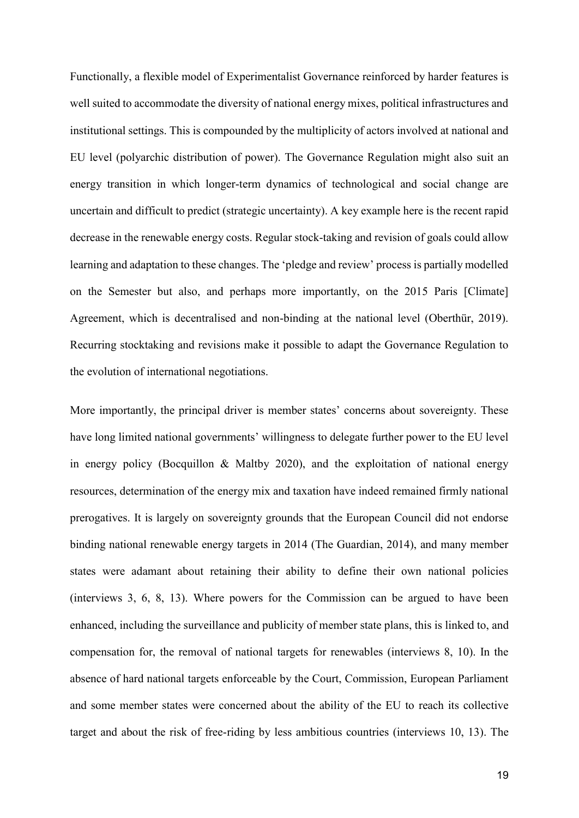Functionally, a flexible model of Experimentalist Governance reinforced by harder features is well suited to accommodate the diversity of national energy mixes, political infrastructures and institutional settings. This is compounded by the multiplicity of actors involved at national and EU level (polyarchic distribution of power). The Governance Regulation might also suit an energy transition in which longer-term dynamics of technological and social change are uncertain and difficult to predict (strategic uncertainty). A key example here is the recent rapid decrease in the renewable energy costs. Regular stock-taking and revision of goals could allow learning and adaptation to these changes. The 'pledge and review' process is partially modelled on the Semester but also, and perhaps more importantly, on the 2015 Paris [Climate] Agreement, which is decentralised and non-binding at the national level (Oberthür, 2019). Recurring stocktaking and revisions make it possible to adapt the Governance Regulation to the evolution of international negotiations.

More importantly, the principal driver is member states' concerns about sovereignty. These have long limited national governments' willingness to delegate further power to the EU level in energy policy (Bocquillon & Maltby 2020), and the exploitation of national energy resources, determination of the energy mix and taxation have indeed remained firmly national prerogatives. It is largely on sovereignty grounds that the European Council did not endorse binding national renewable energy targets in 2014 (The Guardian, 2014), and many member states were adamant about retaining their ability to define their own national policies (interviews 3, 6, 8, 13). Where powers for the Commission can be argued to have been enhanced, including the surveillance and publicity of member state plans, this is linked to, and compensation for, the removal of national targets for renewables (interviews 8, 10). In the absence of hard national targets enforceable by the Court, Commission, European Parliament and some member states were concerned about the ability of the EU to reach its collective target and about the risk of free-riding by less ambitious countries (interviews 10, 13). The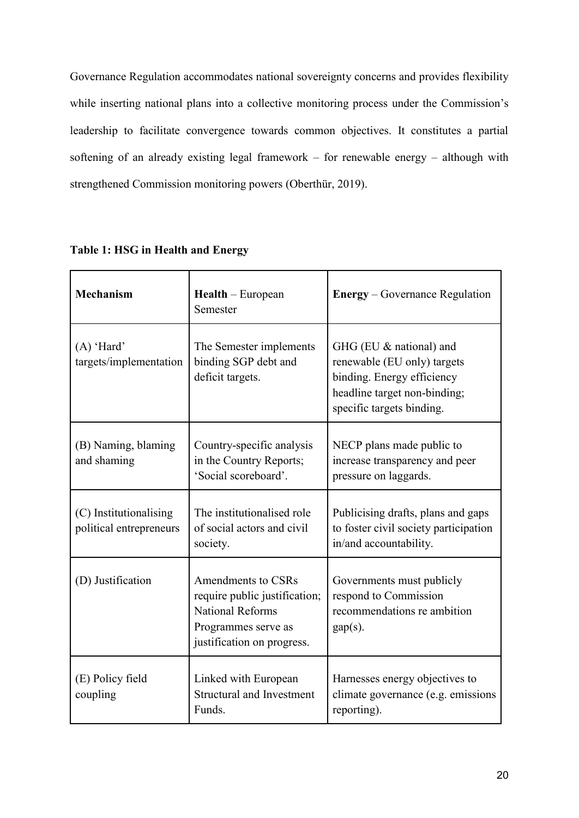Governance Regulation accommodates national sovereignty concerns and provides flexibility while inserting national plans into a collective monitoring process under the Commission's leadership to facilitate convergence towards common objectives. It constitutes a partial softening of an already existing legal framework – for renewable energy – although with strengthened Commission monitoring powers (Oberthür, 2019).

| <b>Mechanism</b>                                  | $Health$ – European<br>Semester                                                                                                     | <b>Energy</b> – Governance Regulation                                                                                                             |
|---------------------------------------------------|-------------------------------------------------------------------------------------------------------------------------------------|---------------------------------------------------------------------------------------------------------------------------------------------------|
| $(A)$ 'Hard'<br>targets/implementation            | The Semester implements<br>binding SGP debt and<br>deficit targets.                                                                 | GHG (EU & national) and<br>renewable (EU only) targets<br>binding. Energy efficiency<br>headline target non-binding;<br>specific targets binding. |
| (B) Naming, blaming<br>and shaming                | Country-specific analysis<br>in the Country Reports;<br>'Social scoreboard'.                                                        | NECP plans made public to<br>increase transparency and peer<br>pressure on laggards.                                                              |
| (C) Institutionalising<br>political entrepreneurs | The institutionalised role<br>of social actors and civil<br>society.                                                                | Publicising drafts, plans and gaps<br>to foster civil society participation<br>in/and accountability.                                             |
| (D) Justification                                 | Amendments to CSRs<br>require public justification;<br><b>National Reforms</b><br>Programmes serve as<br>justification on progress. | Governments must publicly<br>respond to Commission<br>recommendations re ambition<br>$gap(s)$ .                                                   |
| (E) Policy field<br>coupling                      | Linked with European<br><b>Structural and Investment</b><br>Funds.                                                                  | Harnesses energy objectives to<br>climate governance (e.g. emissions<br>reporting).                                                               |

#### **Table 1: HSG in Health and Energy**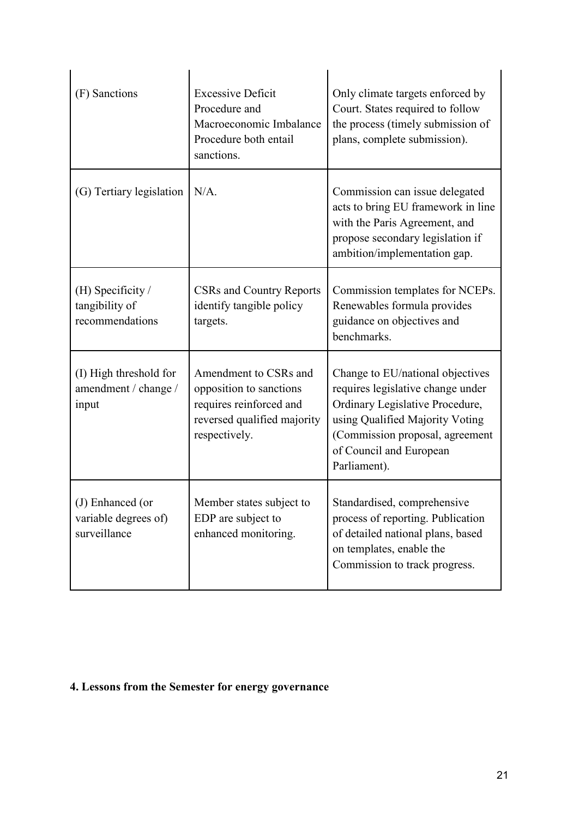| (F) Sanctions                                            | <b>Excessive Deficit</b><br>Procedure and<br>Macroeconomic Imbalance<br>Procedure both entail<br>sanctions.                 | Only climate targets enforced by<br>Court. States required to follow<br>the process (timely submission of<br>plans, complete submission).                                                                                 |
|----------------------------------------------------------|-----------------------------------------------------------------------------------------------------------------------------|---------------------------------------------------------------------------------------------------------------------------------------------------------------------------------------------------------------------------|
| (G) Tertiary legislation                                 | $N/A$ .                                                                                                                     | Commission can issue delegated<br>acts to bring EU framework in line<br>with the Paris Agreement, and<br>propose secondary legislation if<br>ambition/implementation gap.                                                 |
| (H) Specificity $/$<br>tangibility of<br>recommendations | <b>CSRs and Country Reports</b><br>identify tangible policy<br>targets.                                                     | Commission templates for NCEPs.<br>Renewables formula provides<br>guidance on objectives and<br>benchmarks.                                                                                                               |
| (I) High threshold for<br>amendment / change /<br>input  | Amendment to CSRs and<br>opposition to sanctions<br>requires reinforced and<br>reversed qualified majority<br>respectively. | Change to EU/national objectives<br>requires legislative change under<br>Ordinary Legislative Procedure,<br>using Qualified Majority Voting<br>(Commission proposal, agreement<br>of Council and European<br>Parliament). |
| (J) Enhanced (or<br>variable degrees of)<br>surveillance | Member states subject to<br>EDP are subject to<br>enhanced monitoring.                                                      | Standardised, comprehensive<br>process of reporting. Publication<br>of detailed national plans, based<br>on templates, enable the<br>Commission to track progress.                                                        |

## **4. Lessons from the Semester for energy governance**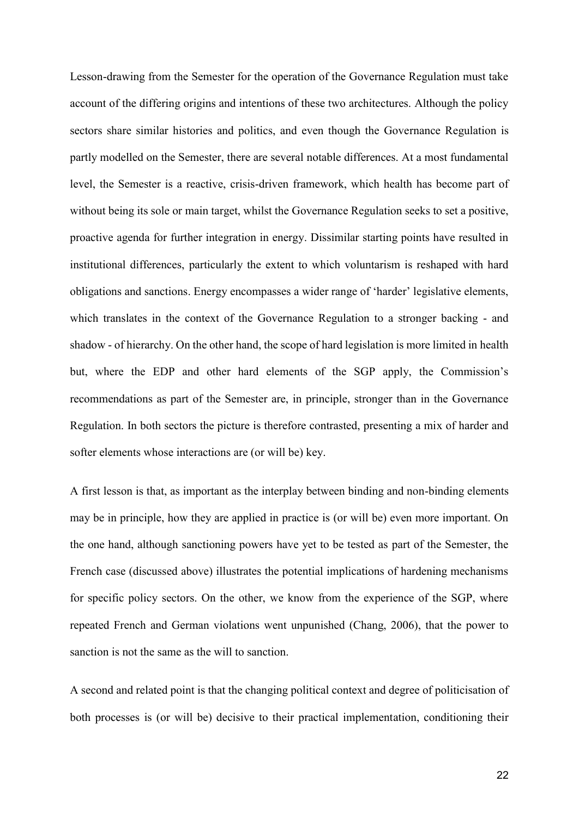Lesson-drawing from the Semester for the operation of the Governance Regulation must take account of the differing origins and intentions of these two architectures. Although the policy sectors share similar histories and politics, and even though the Governance Regulation is partly modelled on the Semester, there are several notable differences. At a most fundamental level, the Semester is a reactive, crisis-driven framework, which health has become part of without being its sole or main target, whilst the Governance Regulation seeks to set a positive, proactive agenda for further integration in energy. Dissimilar starting points have resulted in institutional differences, particularly the extent to which voluntarism is reshaped with hard obligations and sanctions. Energy encompasses a wider range of 'harder' legislative elements, which translates in the context of the Governance Regulation to a stronger backing - and shadow - of hierarchy. On the other hand, the scope of hard legislation is more limited in health but, where the EDP and other hard elements of the SGP apply, the Commission's recommendations as part of the Semester are, in principle, stronger than in the Governance Regulation. In both sectors the picture is therefore contrasted, presenting a mix of harder and softer elements whose interactions are (or will be) key.

A first lesson is that, as important as the interplay between binding and non-binding elements may be in principle, how they are applied in practice is (or will be) even more important. On the one hand, although sanctioning powers have yet to be tested as part of the Semester, the French case (discussed above) illustrates the potential implications of hardening mechanisms for specific policy sectors. On the other, we know from the experience of the SGP, where repeated French and German violations went unpunished (Chang, 2006), that the power to sanction is not the same as the will to sanction.

A second and related point is that the changing political context and degree of politicisation of both processes is (or will be) decisive to their practical implementation, conditioning their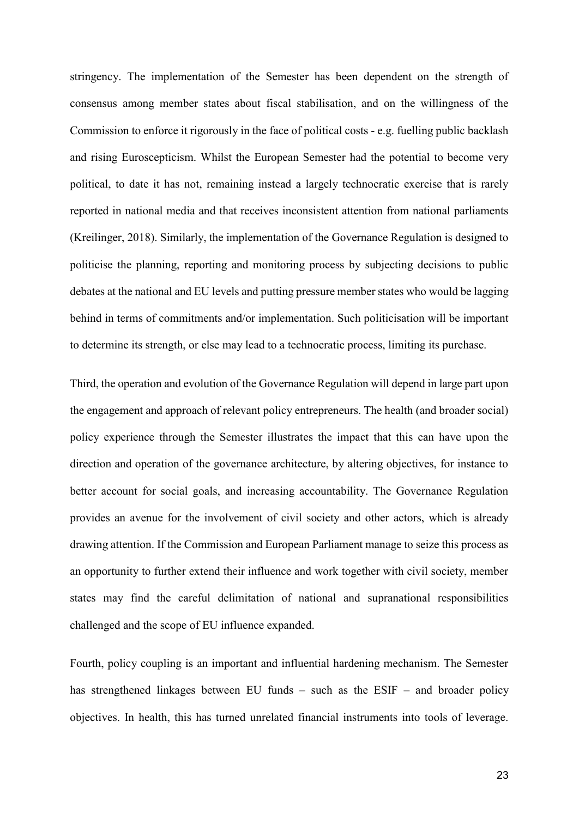stringency. The implementation of the Semester has been dependent on the strength of consensus among member states about fiscal stabilisation, and on the willingness of the Commission to enforce it rigorously in the face of political costs - e.g. fuelling public backlash and rising Euroscepticism. Whilst the European Semester had the potential to become very political, to date it has not, remaining instead a largely technocratic exercise that is rarely reported in national media and that receives inconsistent attention from national parliaments (Kreilinger, 2018). Similarly, the implementation of the Governance Regulation is designed to politicise the planning, reporting and monitoring process by subjecting decisions to public debates at the national and EU levels and putting pressure member states who would be lagging behind in terms of commitments and/or implementation. Such politicisation will be important to determine its strength, or else may lead to a technocratic process, limiting its purchase.

Third, the operation and evolution of the Governance Regulation will depend in large part upon the engagement and approach of relevant policy entrepreneurs. The health (and broader social) policy experience through the Semester illustrates the impact that this can have upon the direction and operation of the governance architecture, by altering objectives, for instance to better account for social goals, and increasing accountability. The Governance Regulation provides an avenue for the involvement of civil society and other actors, which is already drawing attention. If the Commission and European Parliament manage to seize this process as an opportunity to further extend their influence and work together with civil society, member states may find the careful delimitation of national and supranational responsibilities challenged and the scope of EU influence expanded.

Fourth, policy coupling is an important and influential hardening mechanism. The Semester has strengthened linkages between EU funds – such as the ESIF – and broader policy objectives. In health, this has turned unrelated financial instruments into tools of leverage.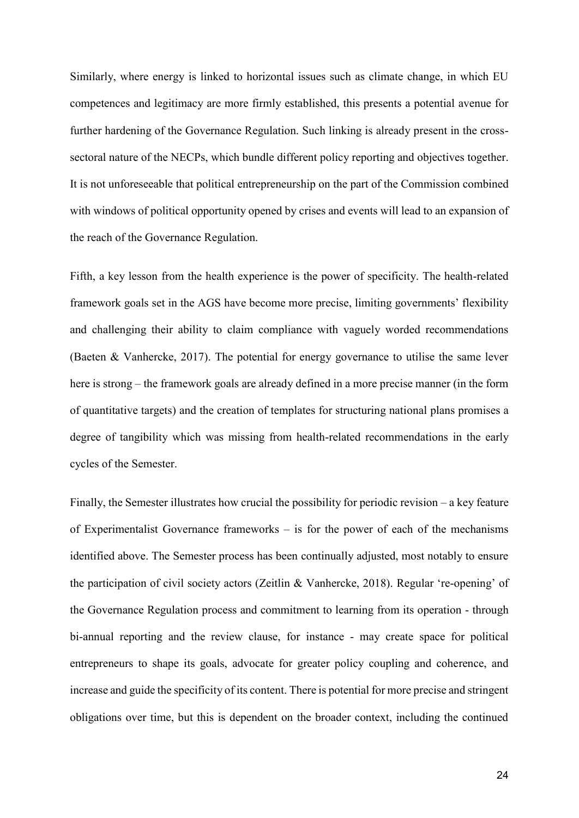Similarly, where energy is linked to horizontal issues such as climate change, in which EU competences and legitimacy are more firmly established, this presents a potential avenue for further hardening of the Governance Regulation. Such linking is already present in the crosssectoral nature of the NECPs, which bundle different policy reporting and objectives together. It is not unforeseeable that political entrepreneurship on the part of the Commission combined with windows of political opportunity opened by crises and events will lead to an expansion of the reach of the Governance Regulation.

Fifth, a key lesson from the health experience is the power of specificity. The health-related framework goals set in the AGS have become more precise, limiting governments' flexibility and challenging their ability to claim compliance with vaguely worded recommendations (Baeten & Vanhercke, 2017). The potential for energy governance to utilise the same lever here is strong – the framework goals are already defined in a more precise manner (in the form of quantitative targets) and the creation of templates for structuring national plans promises a degree of tangibility which was missing from health-related recommendations in the early cycles of the Semester.

Finally, the Semester illustrates how crucial the possibility for periodic revision – a key feature of Experimentalist Governance frameworks – is for the power of each of the mechanisms identified above. The Semester process has been continually adjusted, most notably to ensure the participation of civil society actors (Zeitlin & Vanhercke, 2018). Regular 're-opening' of the Governance Regulation process and commitment to learning from its operation - through bi-annual reporting and the review clause, for instance - may create space for political entrepreneurs to shape its goals, advocate for greater policy coupling and coherence, and increase and guide the specificity of its content. There is potential for more precise and stringent obligations over time, but this is dependent on the broader context, including the continued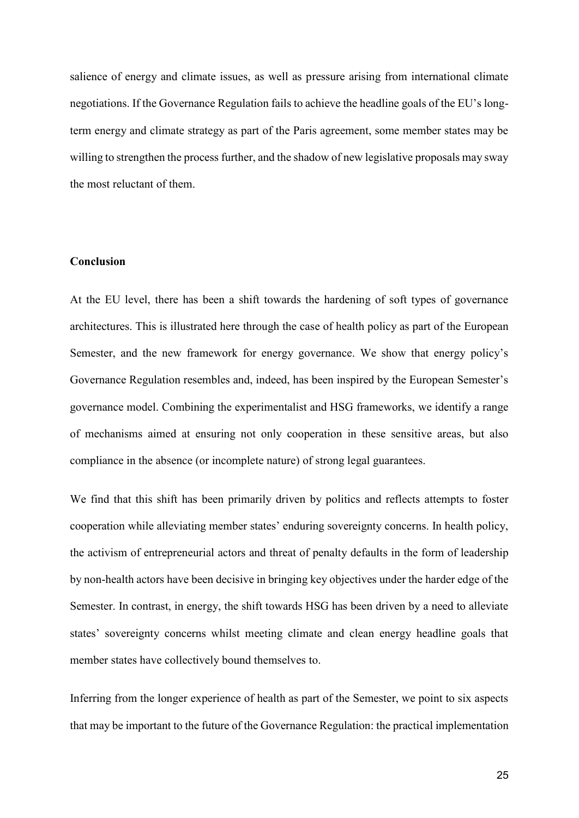salience of energy and climate issues, as well as pressure arising from international climate negotiations. If the Governance Regulation fails to achieve the headline goals of the EU's longterm energy and climate strategy as part of the Paris agreement, some member states may be willing to strengthen the process further, and the shadow of new legislative proposals may sway the most reluctant of them.

#### **Conclusion**

At the EU level, there has been a shift towards the hardening of soft types of governance architectures. This is illustrated here through the case of health policy as part of the European Semester, and the new framework for energy governance. We show that energy policy's Governance Regulation resembles and, indeed, has been inspired by the European Semester's governance model. Combining the experimentalist and HSG frameworks, we identify a range of mechanisms aimed at ensuring not only cooperation in these sensitive areas, but also compliance in the absence (or incomplete nature) of strong legal guarantees.

We find that this shift has been primarily driven by politics and reflects attempts to foster cooperation while alleviating member states' enduring sovereignty concerns. In health policy, the activism of entrepreneurial actors and threat of penalty defaults in the form of leadership by non-health actors have been decisive in bringing key objectives under the harder edge of the Semester. In contrast, in energy, the shift towards HSG has been driven by a need to alleviate states' sovereignty concerns whilst meeting climate and clean energy headline goals that member states have collectively bound themselves to.

Inferring from the longer experience of health as part of the Semester, we point to six aspects that may be important to the future of the Governance Regulation: the practical implementation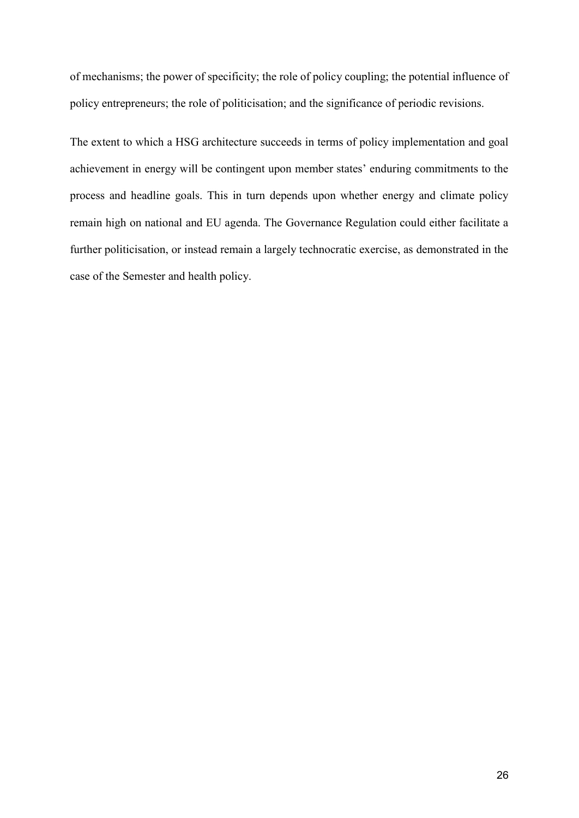of mechanisms; the power of specificity; the role of policy coupling; the potential influence of policy entrepreneurs; the role of politicisation; and the significance of periodic revisions.

The extent to which a HSG architecture succeeds in terms of policy implementation and goal achievement in energy will be contingent upon member states' enduring commitments to the process and headline goals. This in turn depends upon whether energy and climate policy remain high on national and EU agenda. The Governance Regulation could either facilitate a further politicisation, or instead remain a largely technocratic exercise, as demonstrated in the case of the Semester and health policy.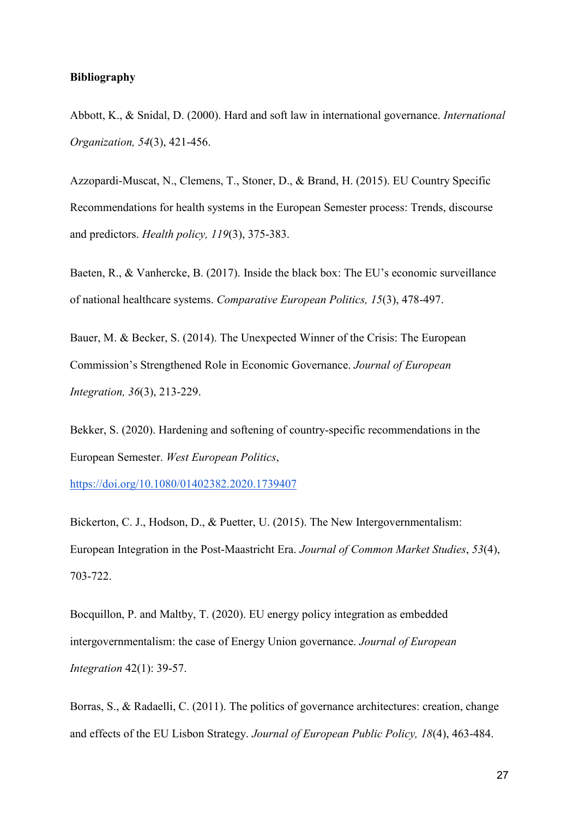#### **Bibliography**

Abbott, K., & Snidal, D. (2000). Hard and soft law in international governance. *International Organization, 54*(3), 421-456.

Azzopardi-Muscat, N., Clemens, T., Stoner, D., & Brand, H. (2015). EU Country Specific Recommendations for health systems in the European Semester process: Trends, discourse and predictors. *Health policy, 119*(3), 375-383.

Baeten, R., & Vanhercke, B. (2017). Inside the black box: The EU's economic surveillance of national healthcare systems. *Comparative European Politics, 15*(3), 478-497.

Bauer, M. & Becker, S. (2014). The Unexpected Winner of the Crisis: The European Commission's Strengthened Role in Economic Governance. *Journal of European Integration, 36*(3), 213-229.

Bekker, S. (2020). Hardening and softening of country-specific recommendations in the European Semester. *West European Politics*[,](https://doi.org/10.1080/01402382.2020.1739407)

<https://doi.org/10.1080/01402382.2020.1739407>

Bickerton, C. J., Hodson, D., & Puetter, U. (2015). The New Intergovernmentalism: European Integration in the Post‐Maastricht Era. *Journal of Common Market Studies*, *53*(4), 703-722.

Bocquillon, P. and Maltby, T. (2020). EU energy policy integration as embedded intergovernmentalism: the case of Energy Union governance. *Journal of European Integration* 42(1): 39-57.

Borras, S., & Radaelli, C. (2011). The politics of governance architectures: creation, change and effects of the EU Lisbon Strategy. *Journal of European Public Policy, 18*(4), 463-484.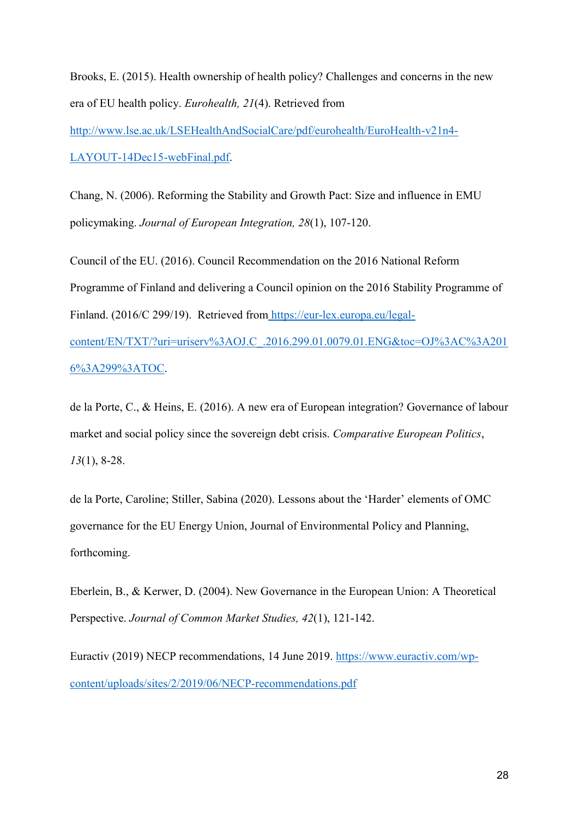Brooks, E. (2015). Health ownership of health policy? Challenges and concerns in the new era of EU health policy. *Eurohealth, 21*(4). Retrieved fro[m](http://www.lse.ac.uk/LSEHealthAndSocialCare/pdf/eurohealth/EuroHealth-v21n4-LAYOUT-14Dec15-webFinal.pdf) [http://www.lse.ac.uk/LSEHealthAndSocialCare/pdf/eurohealth/EuroHealth-v21n4-](http://www.lse.ac.uk/LSEHealthAndSocialCare/pdf/eurohealth/EuroHealth-v21n4-LAYOUT-14Dec15-webFinal.pdf) [LAYOUT-14Dec15-webFinal.pdf.](http://www.lse.ac.uk/LSEHealthAndSocialCare/pdf/eurohealth/EuroHealth-v21n4-LAYOUT-14Dec15-webFinal.pdf)

Chang, N. (2006). Reforming the Stability and Growth Pact: Size and influence in EMU policymaking. *Journal of European Integration, 28*(1), 107-120.

Council of the EU. (2016). Council Recommendation on the 2016 National Reform Programme of Finland and delivering a Council opinion on the 2016 Stability Programme of Finland. (2016/C 299/19). Retrieved from [https://eur-lex.europa.eu/legal](https://eur-lex.europa.eu/legal-content/EN/TXT/?uri=uriserv%3AOJ.C_.2016.299.01.0079.01.ENG&toc=OJ%3AC%3A2016%3A299%3ATOC)[content/EN/TXT/?uri=uriserv%3AOJ.C\\_.2016.299.01.0079.01.ENG&toc=OJ%3AC%3A201](https://eur-lex.europa.eu/legal-content/EN/TXT/?uri=uriserv%3AOJ.C_.2016.299.01.0079.01.ENG&toc=OJ%3AC%3A2016%3A299%3ATOC) [6%3A299%3ATOC.](https://eur-lex.europa.eu/legal-content/EN/TXT/?uri=uriserv%3AOJ.C_.2016.299.01.0079.01.ENG&toc=OJ%3AC%3A2016%3A299%3ATOC)

de la Porte, C., & Heins, E. (2016). A new era of European integration? Governance of labour market and social policy since the sovereign debt crisis. *Comparative European Politics*, *13*(1), 8-28.

de la Porte, Caroline; Stiller, Sabina (2020). Lessons about the 'Harder' elements of OMC governance for the EU Energy Union, Journal of Environmental Policy and Planning, forthcoming.

Eberlein, B., & Kerwer, D. (2004). New Governance in the European Union: A Theoretical Perspective. *Journal of Common Market Studies, 42*(1), 121-142.

Euractiv (2019) NECP recommendations, 14 June 2019[.](https://www.euractiv.com/wp-content/uploads/sites/2/2019/06/NECP-recommendations.pdf) [https://www.euractiv.com/wp](https://www.euractiv.com/wp-content/uploads/sites/2/2019/06/NECP-recommendations.pdf)[content/uploads/sites/2/2019/06/NECP-recommendations.pdf](https://www.euractiv.com/wp-content/uploads/sites/2/2019/06/NECP-recommendations.pdf)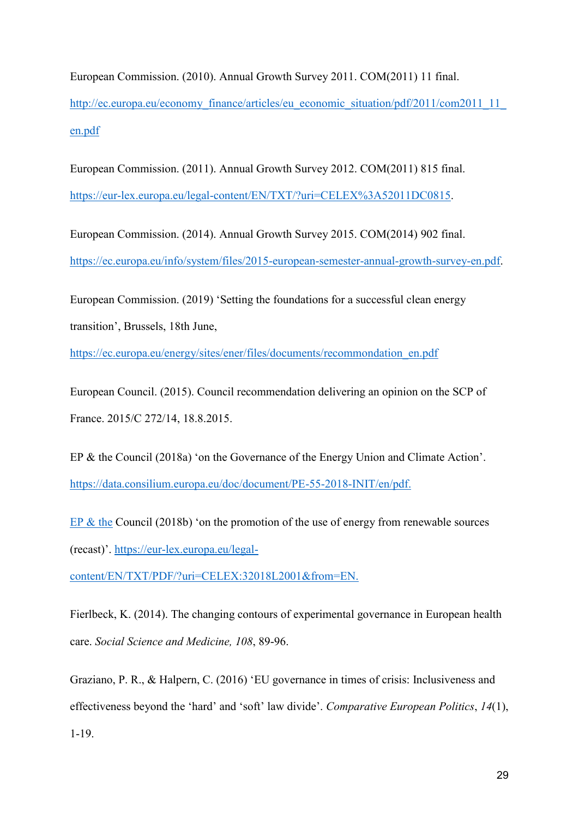European Commission. (2010). Annual Growth Survey 2011. COM(2011) 11 final. http://ec.europa.eu/economy\_finance/articles/eu\_economic\_situation/pdf/2011/com2011\_11 [en.pdf](http://ec.europa.eu/economy_finance/articles/eu_economic_situation/pdf/2011/com2011_11_en.pdf)

European Commission. (2011). Annual Growth Survey 2012. COM(2011) 815 final. [https://eur-lex.europa.eu/legal-content/EN/TXT/?uri=CELEX%3A52011DC0815.](https://eur-lex.europa.eu/legal-content/EN/TXT/?uri=CELEX%3A52011DC0815)

European Commission. (2014). Annual Growth Survey 2015. COM(2014) 902 final. [https://ec.europa.eu/info/system/files/2015-european-semester-annual-growth-survey-en.pdf.](https://ec.europa.eu/info/system/files/2015-european-semester-annual-growth-survey-en.pdf)

European Commission. (2019) 'Setting the foundations for a successful clean energy transition', Brussels, 18th June[,](https://ec.europa.eu/energy/sites/ener/files/documents/recommondation_en.pdf)

[https://ec.europa.eu/energy/sites/ener/files/documents/recommondation\\_en.pdf](https://ec.europa.eu/energy/sites/ener/files/documents/recommondation_en.pdf)

European Council. (2015). Council recommendation delivering an opinion on the SCP of France. 2015/C 272/14, 18.8.2015.

EP & the Council (2018a) 'on the Governance of the Energy Union and Climate Action'. <https://data.consilium.europa.eu/doc/document/PE-55-2018-INIT/en/pdf.>

EP & the Council (2018b) 'on the promotion of the use of energy from renewable sources (recast)'. [https://eur-lex.europa.eu/legal-](https://eur-lex.europa.eu/legal-content/EN/TXT/PDF/?uri=CELEX:32018L2001&from=EN.)

[content/EN/TXT/PDF/?uri=CELEX:32018L2001&from=EN.](https://eur-lex.europa.eu/legal-content/EN/TXT/PDF/?uri=CELEX:32018L2001&from=EN.) 

Fierlbeck, K. (2014). The changing contours of experimental governance in European health care. *Social Science and Medicine, 108*, 89-96.

Graziano, P. R., & Halpern, C. (2016) 'EU governance in times of crisis: Inclusiveness and effectiveness beyond the 'hard' and 'soft' law divide'. *Comparative European Politics*, *14*(1), 1-19.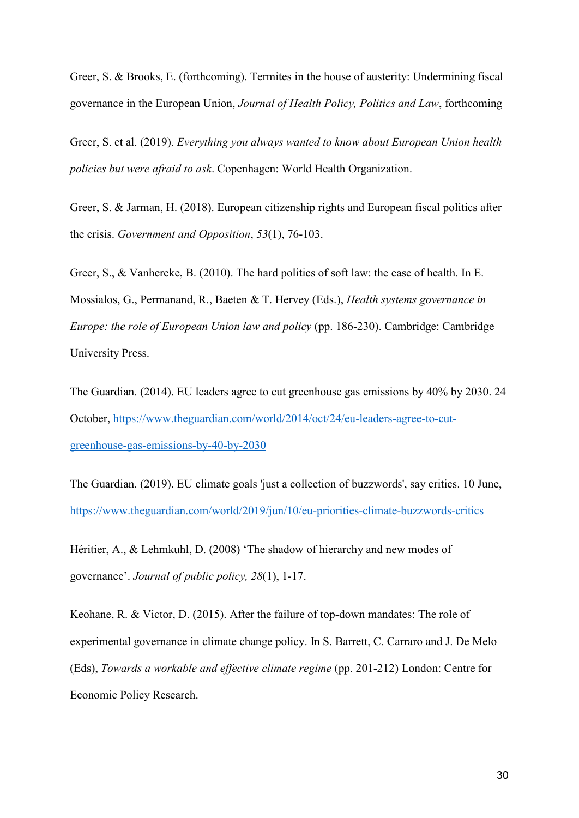Greer, S. & Brooks, E. (forthcoming). Termites in the house of austerity: Undermining fiscal governance in the European Union, *Journal of Health Policy, Politics and Law*, forthcoming

Greer, S. et al. (2019). *Everything you always wanted to know about European Union health policies but were afraid to ask*. Copenhagen: World Health Organization.

Greer, S. & Jarman, H. (2018). European citizenship rights and European fiscal politics after the crisis. *Government and Opposition*, *53*(1), 76-103.

Greer, S., & Vanhercke, B. (2010). The hard politics of soft law: the case of health. In E. Mossialos, G., Permanand, R., Baeten & T. Hervey (Eds.), *Health systems governance in Europe: the role of European Union law and policy (pp. 186-230). Cambridge: Cambridge* University Press.

The Guardian. (2014). EU leaders agree to cut greenhouse gas emissions by 40% by 2030. 24 October[,](https://www.theguardian.com/world/2014/oct/24/eu-leaders-agree-to-cut-greenhouse-gas-emissions-by-40-by-2030) [https://www.theguardian.com/world/2014/oct/24/eu-leaders-agree-to-cut](https://www.theguardian.com/world/2014/oct/24/eu-leaders-agree-to-cut-greenhouse-gas-emissions-by-40-by-2030)[greenhouse-gas-emissions-by-40-by-2030](https://www.theguardian.com/world/2014/oct/24/eu-leaders-agree-to-cut-greenhouse-gas-emissions-by-40-by-2030)

The Guardian. (2019). EU climate goals 'just a collection of buzzwords', say critics. 10 June[,](https://www.theguardian.com/world/2019/jun/10/eu-priorities-climate-buzzwords-critics) <https://www.theguardian.com/world/2019/jun/10/eu-priorities-climate-buzzwords-critics>

Héritier, A., & Lehmkuhl, D. (2008) 'The shadow of hierarchy and new modes of governance'. *Journal of public policy, 28*(1), 1-17.

Keohane, R. & Victor, D. (2015). After the failure of top-down mandates: The role of experimental governance in climate change policy. In S. Barrett, C. Carraro and J. De Melo (Eds), *Towards a workable and effective climate regime* (pp. 201-212) London: Centre for Economic Policy Research.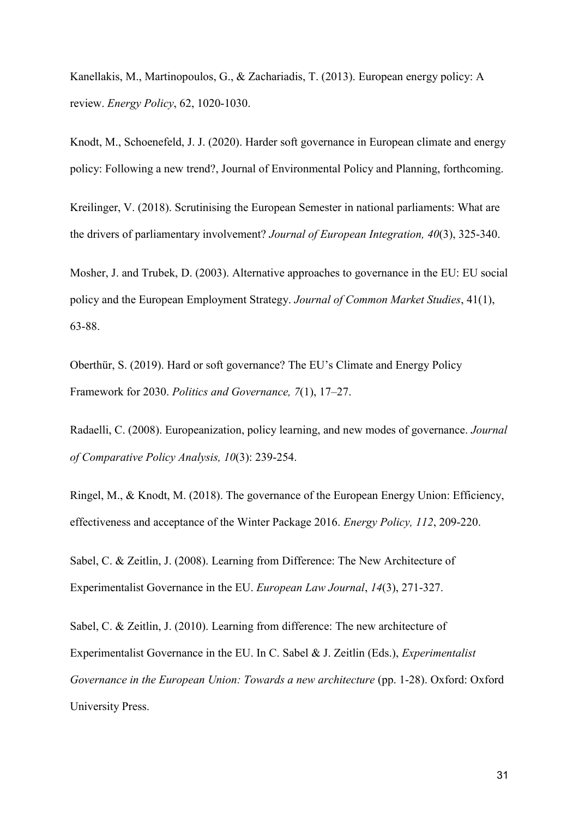Kanellakis, M., Martinopoulos, G., & Zachariadis, T. (2013). European energy policy: A review. *Energy Policy*, 62, 1020-1030.

Knodt, M., Schoenefeld, J. J. (2020). Harder soft governance in European climate and energy policy: Following a new trend?, Journal of Environmental Policy and Planning, forthcoming.

Kreilinger, V. (2018). Scrutinising the European Semester in national parliaments: What are the drivers of parliamentary involvement? *Journal of European Integration, 40*(3), 325-340.

Mosher, J. and Trubek, D. (2003). Alternative approaches to governance in the EU: EU social policy and the European Employment Strategy. *Journal of Common Market Studies*, 41(1), 63-88.

Oberthür, S. (2019). Hard or soft governance? The EU's Climate and Energy Policy Framework for 2030. *Politics and Governance, 7*(1), 17–27.

Radaelli, C. (2008). Europeanization, policy learning, and new modes of governance. *Journal of Comparative Policy Analysis, 10*(3): 239-254.

Ringel, M., & Knodt, M. (2018). The governance of the European Energy Union: Efficiency, effectiveness and acceptance of the Winter Package 2016. *Energy Policy, 112*, 209-220.

Sabel, C. & Zeitlin, J. (2008). Learning from Difference: The New Architecture of Experimentalist Governance in the EU. *European Law Journal*, *14*(3), 271-327.

Sabel, C. & Zeitlin, J. (2010). Learning from difference: The new architecture of Experimentalist Governance in the EU. In C. Sabel & J. Zeitlin (Eds.), *Experimentalist Governance in the European Union: Towards a new architecture* (pp. 1-28). Oxford: Oxford University Press.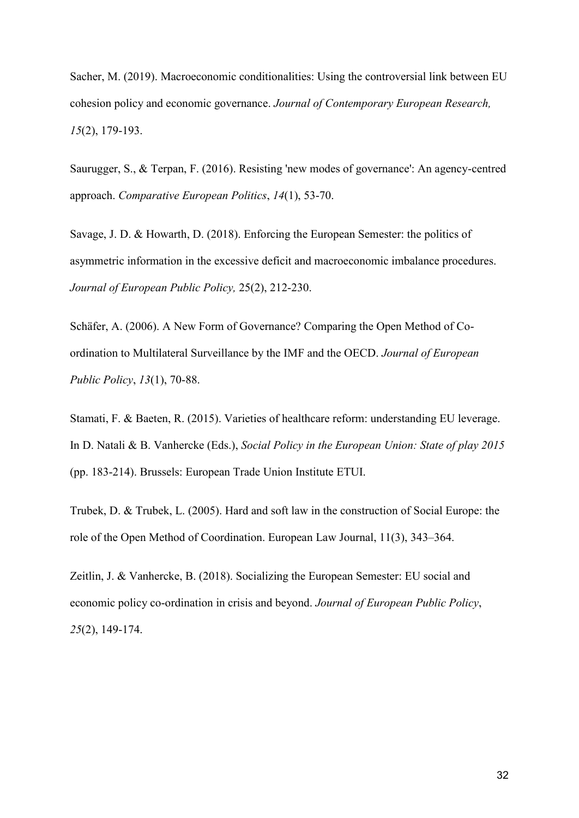Sacher, M. (2019). Macroeconomic conditionalities: Using the controversial link between EU cohesion policy and economic governance. *Journal of Contemporary European Research, 15*(2), 179-193.

Saurugger, S., & Terpan, F. (2016). Resisting 'new modes of governance': An agency-centred approach. *Comparative European Politics*, *14*(1), 53-70.

Savage, J. D. & Howarth, D. (2018). Enforcing the European Semester: the politics of asymmetric information in the excessive deficit and macroeconomic imbalance procedures. *Journal of European Public Policy,* 25(2), 212-230.

Schäfer, A. (2006). A New Form of Governance? Comparing the Open Method of Coordination to Multilateral Surveillance by the IMF and the OECD. *Journal of European Public Policy*, *13*(1), 70-88.

Stamati, F. & Baeten, R. (2015). Varieties of healthcare reform: understanding EU leverage. In D. Natali & B. Vanhercke (Eds.), *Social Policy in the European Union: State of play 2015* (pp. 183-214). Brussels: European Trade Union Institute ETUI.

Trubek, D. & Trubek, L. (2005). Hard and soft law in the construction of Social Europe: the role of the Open Method of Coordination. European Law Journal, 11(3), 343–364.

Zeitlin, J. & Vanhercke, B. (2018). Socializing the European Semester: EU social and economic policy co-ordination in crisis and beyond. *Journal of European Public Policy*, *25*(2), 149-174.